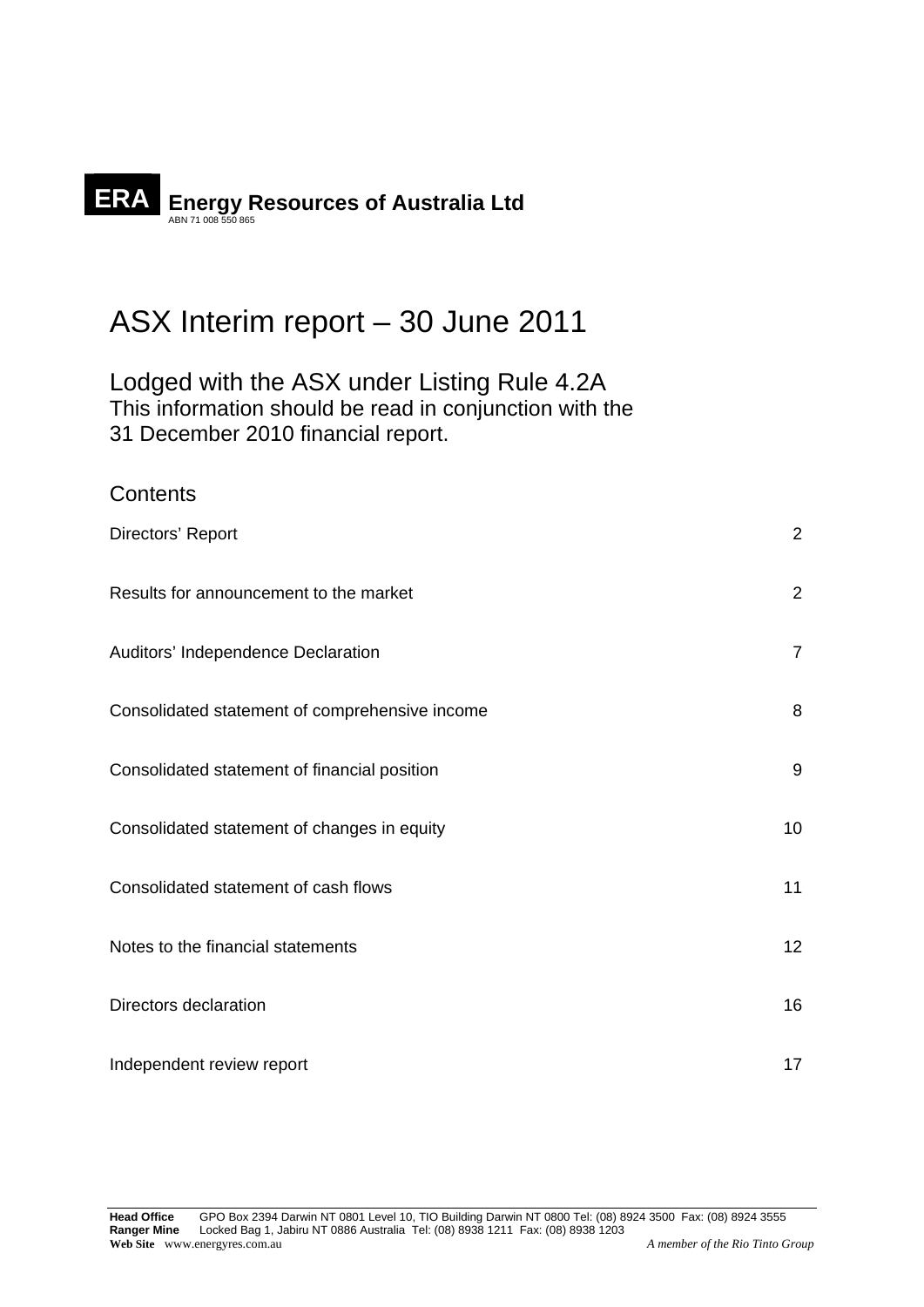# ERA **Energy Resources of Australia Ltd**

**Contents** 

## ASX Interim report – 30 June 2011

Lodged with the ASX under Listing Rule 4.2A This information should be read in conjunction with the 31 December 2010 financial report.

| Directors' Report                              | $\overline{2}$   |
|------------------------------------------------|------------------|
| Results for announcement to the market         | $\overline{2}$   |
| Auditors' Independence Declaration             | $\overline{7}$   |
| Consolidated statement of comprehensive income | 8                |
| Consolidated statement of financial position   | $\boldsymbol{9}$ |
| Consolidated statement of changes in equity    | 10               |
| Consolidated statement of cash flows           | 11               |
| Notes to the financial statements              | 12               |
| Directors declaration                          | 16               |
| Independent review report                      | 17               |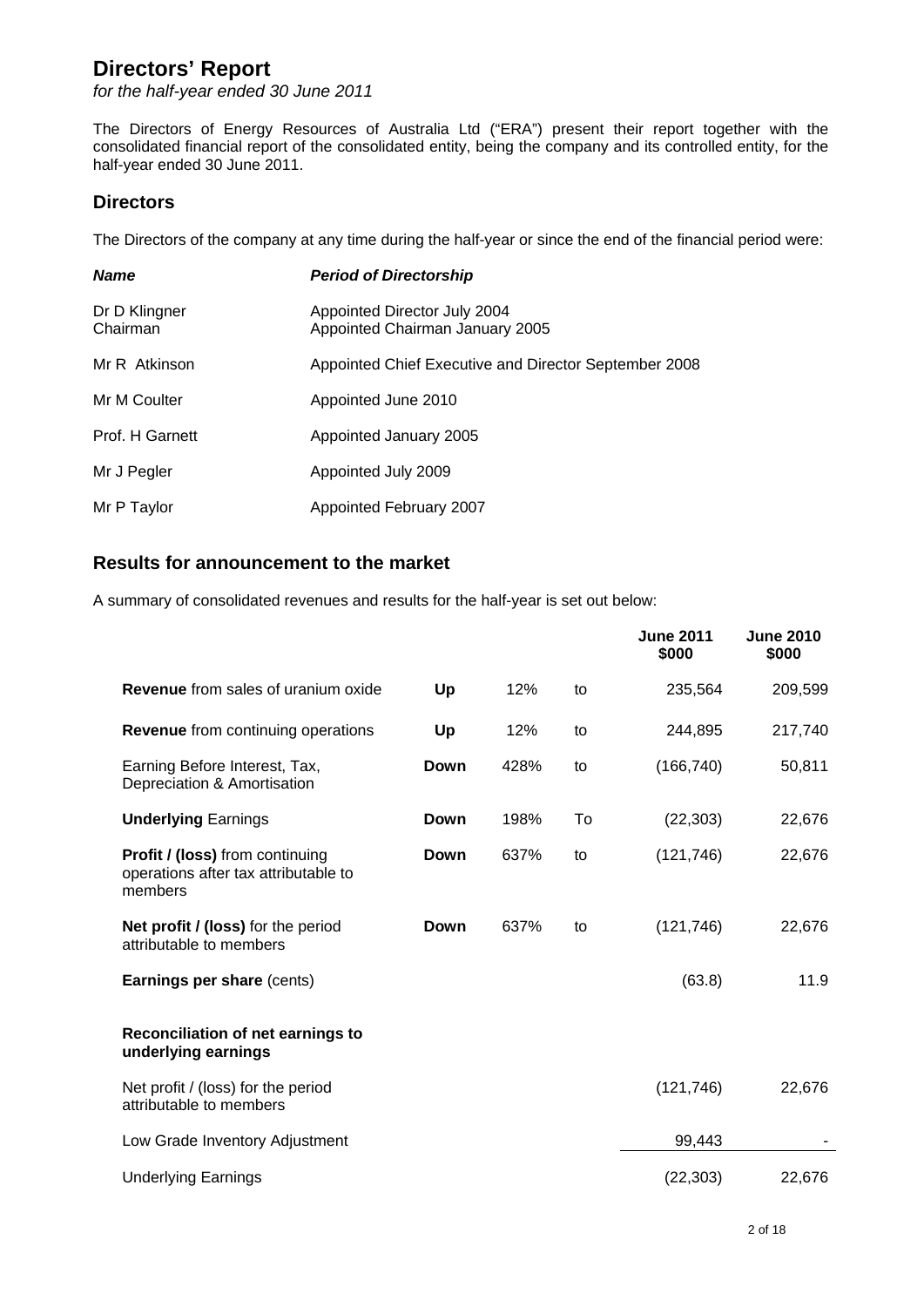*for the half-year ended 30 June 2011* 

The Directors of Energy Resources of Australia Ltd ("ERA") present their report together with the consolidated financial report of the consolidated entity, being the company and its controlled entity, for the half-year ended 30 June 2011.

## **Directors**

The Directors of the company at any time during the half-year or since the end of the financial period were:

| <b>Name</b>               | <b>Period of Directorship</b>                                   |
|---------------------------|-----------------------------------------------------------------|
| Dr D Klingner<br>Chairman | Appointed Director July 2004<br>Appointed Chairman January 2005 |
| Mr R Atkinson             | Appointed Chief Executive and Director September 2008           |
| Mr M Coulter              | Appointed June 2010                                             |
| Prof. H Garnett           | Appointed January 2005                                          |
| Mr J Pegler               | Appointed July 2009                                             |
| Mr P Taylor               | <b>Appointed February 2007</b>                                  |

## **Results for announcement to the market**

A summary of consolidated revenues and results for the half-year is set out below:

|                                                                                           |      |      |    | <b>June 2011</b><br>\$000 | <b>June 2010</b><br>\$000 |
|-------------------------------------------------------------------------------------------|------|------|----|---------------------------|---------------------------|
| <b>Revenue</b> from sales of uranium oxide                                                | Up   | 12%  | to | 235,564                   | 209,599                   |
| Revenue from continuing operations                                                        | Up   | 12%  | to | 244,895                   | 217,740                   |
| Earning Before Interest, Tax,<br>Depreciation & Amortisation                              | Down | 428% | to | (166, 740)                | 50,811                    |
| <b>Underlying Earnings</b>                                                                | Down | 198% | To | (22, 303)                 | 22,676                    |
| <b>Profit / (loss)</b> from continuing<br>operations after tax attributable to<br>members | Down | 637% | to | (121, 746)                | 22,676                    |
| Net profit / (loss) for the period<br>attributable to members                             | Down | 637% | to | (121, 746)                | 22,676                    |
| Earnings per share (cents)                                                                |      |      |    | (63.8)                    | 11.9                      |
| Reconciliation of net earnings to<br>underlying earnings                                  |      |      |    |                           |                           |
| Net profit / (loss) for the period<br>attributable to members                             |      |      |    | (121, 746)                | 22,676                    |
| Low Grade Inventory Adjustment                                                            |      |      |    | 99,443                    |                           |
| <b>Underlying Earnings</b>                                                                |      |      |    | (22, 303)                 | 22,676                    |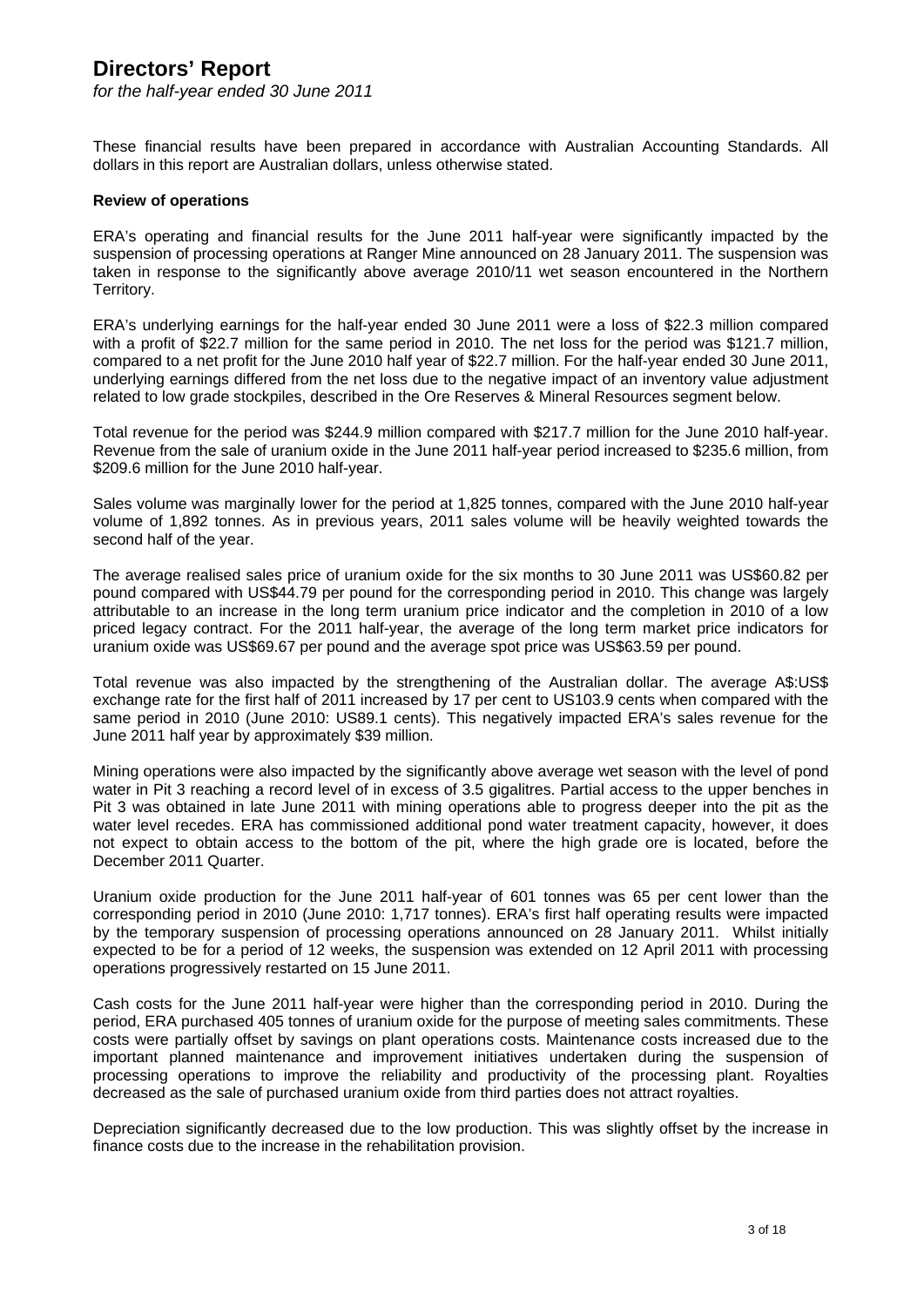*for the half-year ended 30 June 2011* 

These financial results have been prepared in accordance with Australian Accounting Standards. All dollars in this report are Australian dollars, unless otherwise stated.

#### **Review of operations**

ERA's operating and financial results for the June 2011 half-year were significantly impacted by the suspension of processing operations at Ranger Mine announced on 28 January 2011. The suspension was taken in response to the significantly above average 2010/11 wet season encountered in the Northern Territory.

ERA's underlying earnings for the half-year ended 30 June 2011 were a loss of \$22.3 million compared with a profit of \$22.7 million for the same period in 2010. The net loss for the period was \$121.7 million, compared to a net profit for the June 2010 half year of \$22.7 million. For the half-year ended 30 June 2011, underlying earnings differed from the net loss due to the negative impact of an inventory value adjustment related to low grade stockpiles, described in the Ore Reserves & Mineral Resources segment below.

Total revenue for the period was \$244.9 million compared with \$217.7 million for the June 2010 half-year. Revenue from the sale of uranium oxide in the June 2011 half-year period increased to \$235.6 million, from \$209.6 million for the June 2010 half-year.

Sales volume was marginally lower for the period at 1,825 tonnes, compared with the June 2010 half-year volume of 1,892 tonnes. As in previous years, 2011 sales volume will be heavily weighted towards the second half of the year.

The average realised sales price of uranium oxide for the six months to 30 June 2011 was US\$60.82 per pound compared with US\$44.79 per pound for the corresponding period in 2010. This change was largely attributable to an increase in the long term uranium price indicator and the completion in 2010 of a low priced legacy contract. For the 2011 half-year, the average of the long term market price indicators for uranium oxide was US\$69.67 per pound and the average spot price was US\$63.59 per pound.

Total revenue was also impacted by the strengthening of the Australian dollar. The average A\$:US\$ exchange rate for the first half of 2011 increased by 17 per cent to US103.9 cents when compared with the same period in 2010 (June 2010: US89.1 cents). This negatively impacted ERA's sales revenue for the June 2011 half year by approximately \$39 million.

Mining operations were also impacted by the significantly above average wet season with the level of pond water in Pit 3 reaching a record level of in excess of 3.5 gigalitres. Partial access to the upper benches in Pit 3 was obtained in late June 2011 with mining operations able to progress deeper into the pit as the water level recedes. ERA has commissioned additional pond water treatment capacity, however, it does not expect to obtain access to the bottom of the pit, where the high grade ore is located, before the December 2011 Quarter.

Uranium oxide production for the June 2011 half-year of 601 tonnes was 65 per cent lower than the corresponding period in 2010 (June 2010: 1,717 tonnes). ERA's first half operating results were impacted by the temporary suspension of processing operations announced on 28 January 2011. Whilst initially expected to be for a period of 12 weeks, the suspension was extended on 12 April 2011 with processing operations progressively restarted on 15 June 2011.

Cash costs for the June 2011 half-year were higher than the corresponding period in 2010. During the period, ERA purchased 405 tonnes of uranium oxide for the purpose of meeting sales commitments. These costs were partially offset by savings on plant operations costs. Maintenance costs increased due to the important planned maintenance and improvement initiatives undertaken during the suspension of processing operations to improve the reliability and productivity of the processing plant. Royalties decreased as the sale of purchased uranium oxide from third parties does not attract royalties.

Depreciation significantly decreased due to the low production. This was slightly offset by the increase in finance costs due to the increase in the rehabilitation provision.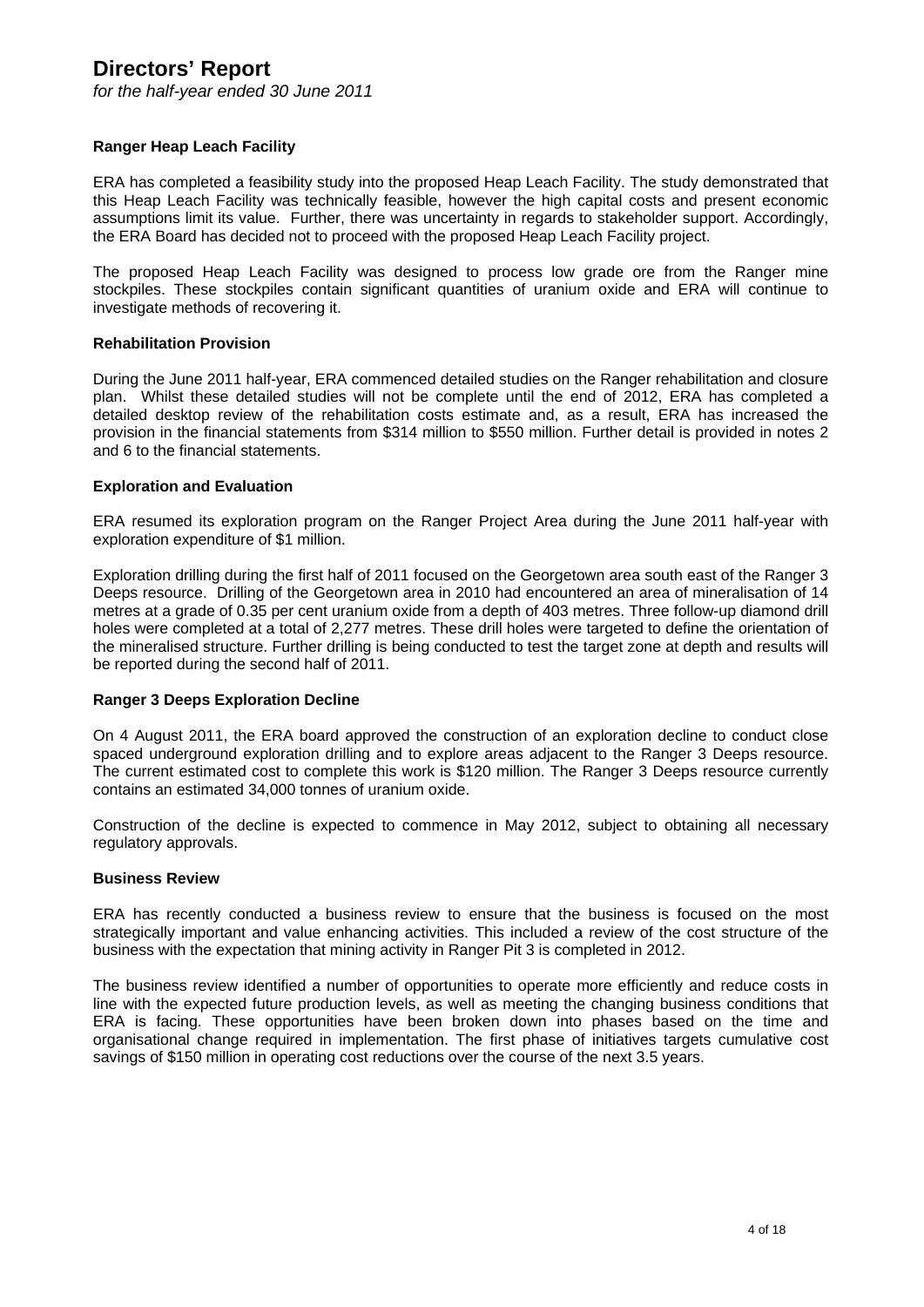*for the half-year ended 30 June 2011* 

#### **Ranger Heap Leach Facility**

ERA has completed a feasibility study into the proposed Heap Leach Facility. The study demonstrated that this Heap Leach Facility was technically feasible, however the high capital costs and present economic assumptions limit its value. Further, there was uncertainty in regards to stakeholder support. Accordingly, the ERA Board has decided not to proceed with the proposed Heap Leach Facility project.

The proposed Heap Leach Facility was designed to process low grade ore from the Ranger mine stockpiles. These stockpiles contain significant quantities of uranium oxide and ERA will continue to investigate methods of recovering it.

#### **Rehabilitation Provision**

During the June 2011 half-year, ERA commenced detailed studies on the Ranger rehabilitation and closure plan. Whilst these detailed studies will not be complete until the end of 2012, ERA has completed a detailed desktop review of the rehabilitation costs estimate and, as a result, ERA has increased the provision in the financial statements from \$314 million to \$550 million. Further detail is provided in notes 2 and 6 to the financial statements.

#### **Exploration and Evaluation**

ERA resumed its exploration program on the Ranger Project Area during the June 2011 half-year with exploration expenditure of \$1 million.

Exploration drilling during the first half of 2011 focused on the Georgetown area south east of the Ranger 3 Deeps resource. Drilling of the Georgetown area in 2010 had encountered an area of mineralisation of 14 metres at a grade of 0.35 per cent uranium oxide from a depth of 403 metres. Three follow-up diamond drill holes were completed at a total of 2,277 metres. These drill holes were targeted to define the orientation of the mineralised structure. Further drilling is being conducted to test the target zone at depth and results will be reported during the second half of 2011.

#### **Ranger 3 Deeps Exploration Decline**

On 4 August 2011, the ERA board approved the construction of an exploration decline to conduct close spaced underground exploration drilling and to explore areas adjacent to the Ranger 3 Deeps resource. The current estimated cost to complete this work is \$120 million. The Ranger 3 Deeps resource currently contains an estimated 34,000 tonnes of uranium oxide.

Construction of the decline is expected to commence in May 2012, subject to obtaining all necessary regulatory approvals.

#### **Business Review**

ERA has recently conducted a business review to ensure that the business is focused on the most strategically important and value enhancing activities. This included a review of the cost structure of the business with the expectation that mining activity in Ranger Pit 3 is completed in 2012.

The business review identified a number of opportunities to operate more efficiently and reduce costs in line with the expected future production levels, as well as meeting the changing business conditions that ERA is facing. These opportunities have been broken down into phases based on the time and organisational change required in implementation. The first phase of initiatives targets cumulative cost savings of \$150 million in operating cost reductions over the course of the next 3.5 years.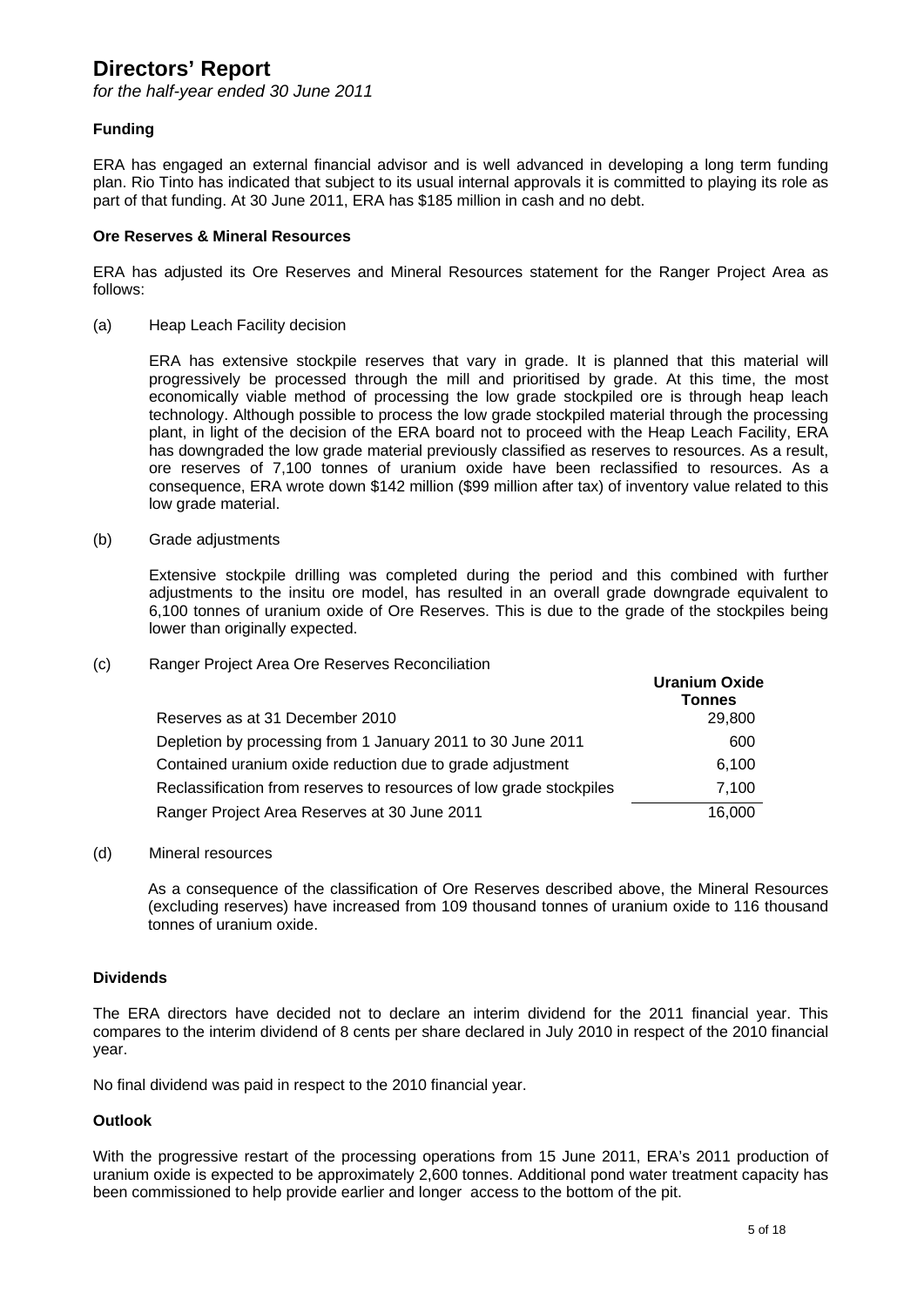*for the half-year ended 30 June 2011* 

#### **Funding**

ERA has engaged an external financial advisor and is well advanced in developing a long term funding plan. Rio Tinto has indicated that subject to its usual internal approvals it is committed to playing its role as part of that funding. At 30 June 2011, ERA has \$185 million in cash and no debt.

#### **Ore Reserves & Mineral Resources**

ERA has adjusted its Ore Reserves and Mineral Resources statement for the Ranger Project Area as follows:

(a) Heap Leach Facility decision

ERA has extensive stockpile reserves that vary in grade. It is planned that this material will progressively be processed through the mill and prioritised by grade. At this time, the most economically viable method of processing the low grade stockpiled ore is through heap leach technology. Although possible to process the low grade stockpiled material through the processing plant, in light of the decision of the ERA board not to proceed with the Heap Leach Facility, ERA has downgraded the low grade material previously classified as reserves to resources. As a result, ore reserves of 7,100 tonnes of uranium oxide have been reclassified to resources. As a consequence, ERA wrote down \$142 million (\$99 million after tax) of inventory value related to this low grade material.

(b) Grade adjustments

Extensive stockpile drilling was completed during the period and this combined with further adjustments to the insitu ore model, has resulted in an overall grade downgrade equivalent to 6,100 tonnes of uranium oxide of Ore Reserves. This is due to the grade of the stockpiles being lower than originally expected.

(c) Ranger Project Area Ore Reserves Reconciliation

|                                                                     | <b>Uranium Oxide</b><br><b>Tonnes</b> |
|---------------------------------------------------------------------|---------------------------------------|
| Reserves as at 31 December 2010                                     | 29,800                                |
| Depletion by processing from 1 January 2011 to 30 June 2011         | 600                                   |
| Contained uranium oxide reduction due to grade adjustment           | 6,100                                 |
| Reclassification from reserves to resources of low grade stockpiles | 7.100                                 |
| Ranger Project Area Reserves at 30 June 2011                        | 16.000                                |

#### (d) Mineral resources

As a consequence of the classification of Ore Reserves described above, the Mineral Resources (excluding reserves) have increased from 109 thousand tonnes of uranium oxide to 116 thousand tonnes of uranium oxide.

#### **Dividends**

The ERA directors have decided not to declare an interim dividend for the 2011 financial year. This compares to the interim dividend of 8 cents per share declared in July 2010 in respect of the 2010 financial year.

No final dividend was paid in respect to the 2010 financial year.

#### **Outlook**

With the progressive restart of the processing operations from 15 June 2011, ERA's 2011 production of uranium oxide is expected to be approximately 2,600 tonnes. Additional pond water treatment capacity has been commissioned to help provide earlier and longer access to the bottom of the pit.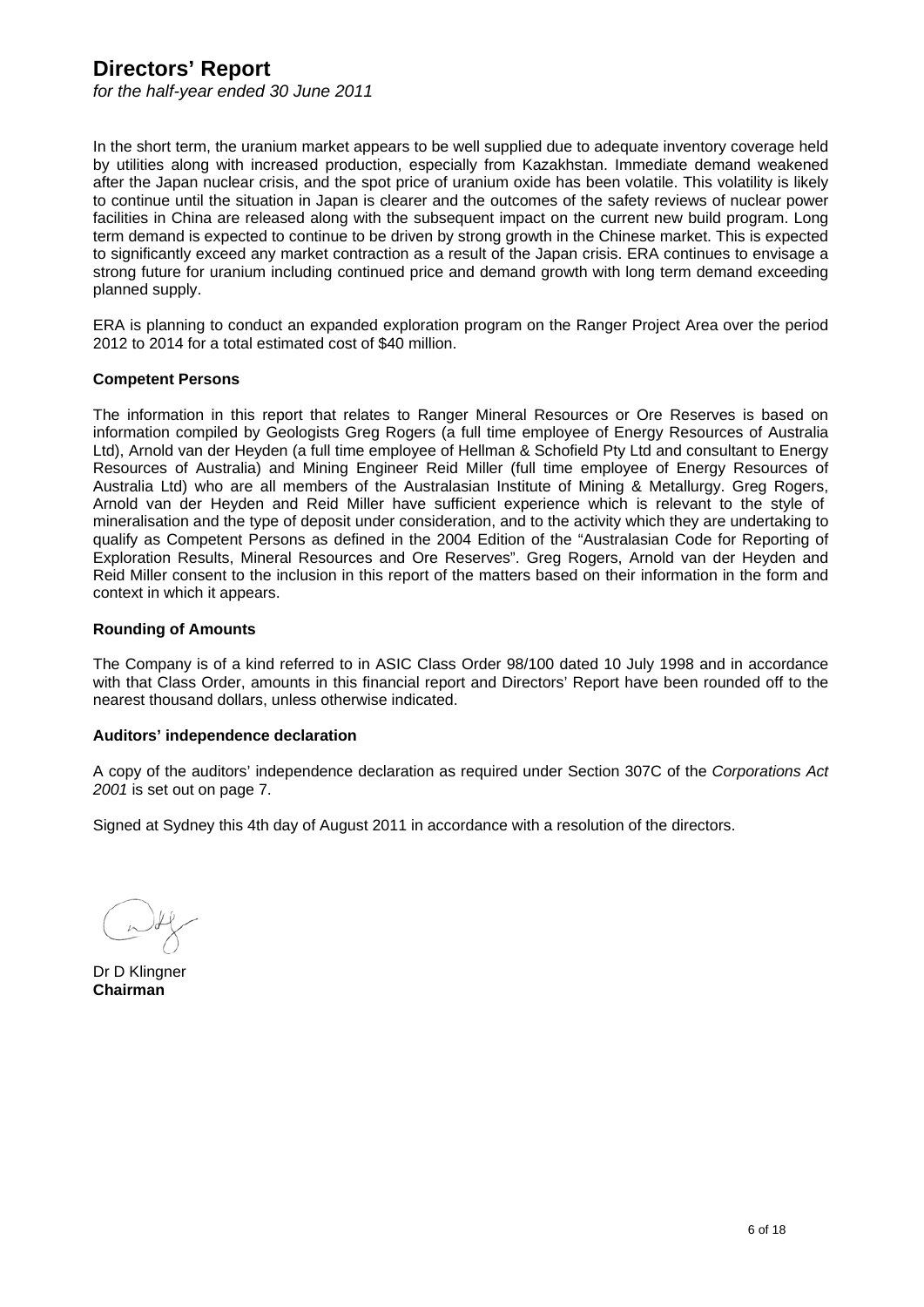*for the half-year ended 30 June 2011* 

In the short term, the uranium market appears to be well supplied due to adequate inventory coverage held by utilities along with increased production, especially from Kazakhstan. Immediate demand weakened after the Japan nuclear crisis, and the spot price of uranium oxide has been volatile. This volatility is likely to continue until the situation in Japan is clearer and the outcomes of the safety reviews of nuclear power facilities in China are released along with the subsequent impact on the current new build program. Long term demand is expected to continue to be driven by strong growth in the Chinese market. This is expected to significantly exceed any market contraction as a result of the Japan crisis. ERA continues to envisage a strong future for uranium including continued price and demand growth with long term demand exceeding planned supply.

ERA is planning to conduct an expanded exploration program on the Ranger Project Area over the period 2012 to 2014 for a total estimated cost of \$40 million.

#### **Competent Persons**

The information in this report that relates to Ranger Mineral Resources or Ore Reserves is based on information compiled by Geologists Greg Rogers (a full time employee of Energy Resources of Australia Ltd), Arnold van der Heyden (a full time employee of Hellman & Schofield Pty Ltd and consultant to Energy Resources of Australia) and Mining Engineer Reid Miller (full time employee of Energy Resources of Australia Ltd) who are all members of the Australasian Institute of Mining & Metallurgy. Greg Rogers, Arnold van der Heyden and Reid Miller have sufficient experience which is relevant to the style of mineralisation and the type of deposit under consideration, and to the activity which they are undertaking to qualify as Competent Persons as defined in the 2004 Edition of the "Australasian Code for Reporting of Exploration Results, Mineral Resources and Ore Reserves". Greg Rogers, Arnold van der Heyden and Reid Miller consent to the inclusion in this report of the matters based on their information in the form and context in which it appears.

#### **Rounding of Amounts**

The Company is of a kind referred to in ASIC Class Order 98/100 dated 10 July 1998 and in accordance with that Class Order, amounts in this financial report and Directors' Report have been rounded off to the nearest thousand dollars, unless otherwise indicated.

#### **Auditors' independence declaration**

A copy of the auditors' independence declaration as required under Section 307C of the *Corporations Act 2001* is set out on page 7.

Signed at Sydney this 4th day of August 2011 in accordance with a resolution of the directors.

Dr D Klingner **Chairman**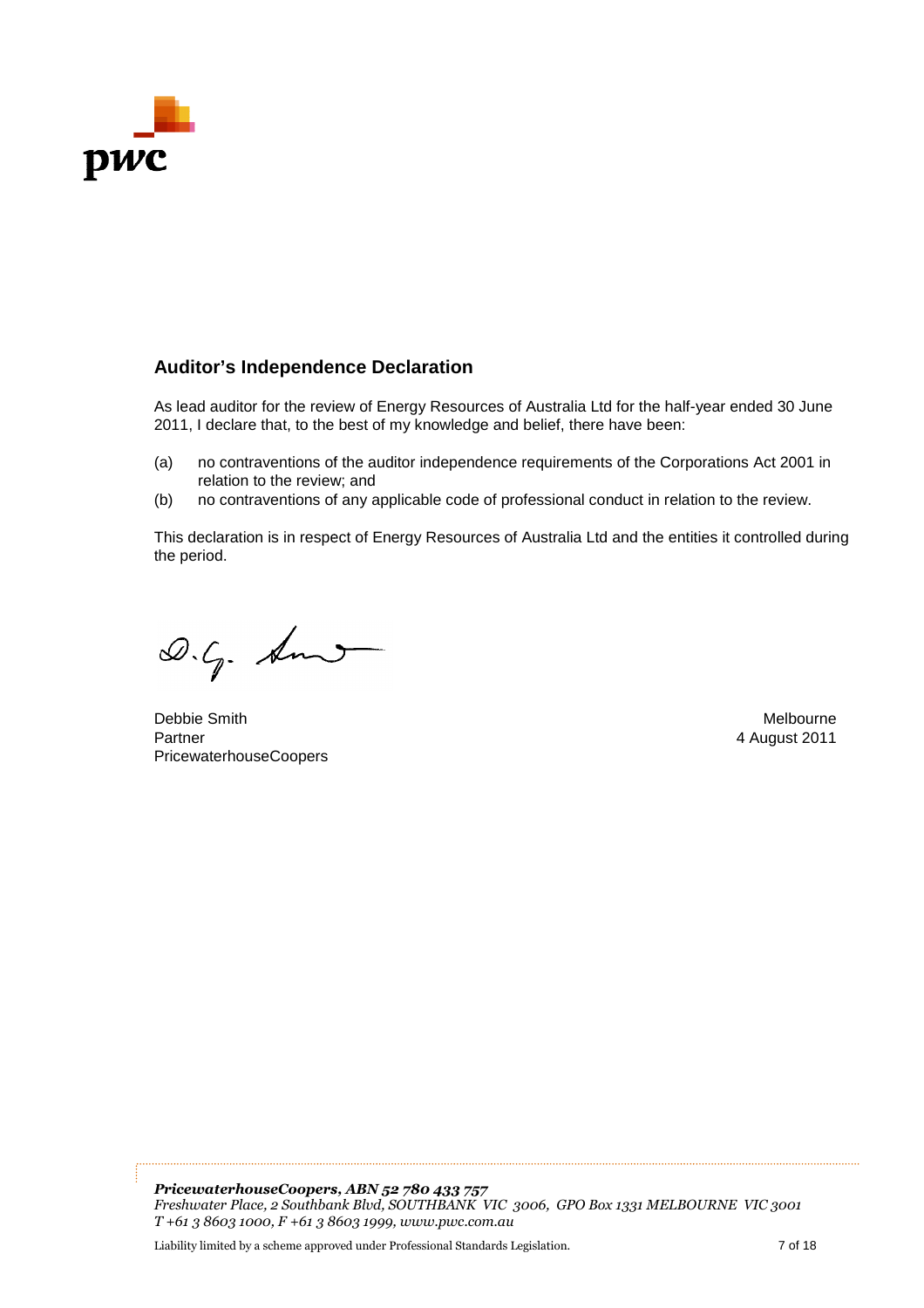

## **Auditor's Independence Declaration**

As lead auditor for the review of Energy Resources of Australia Ltd for the half-year ended 30 June 2011, I declare that, to the best of my knowledge and belief, there have been:

- (a) no contraventions of the auditor independence requirements of the Corporations Act 2001 2001 in relation to the review; and
- (b) no contraventions of any applicable code of professional conduct in relation to the review.

This declaration is in respect of Energy Resources of Australia Ltd and the entities it controlled during the period. (b) no contraventions of any applicable code of professional conduct in relation to the review.<br>This declaration is in respect of Energy Resources of Australia Ltd and the entities it controlled during<br>the period.<br> $\begin{array}{ccc$ 

Debbie Smith Partner PricewaterhouseCoopers

4 August 2011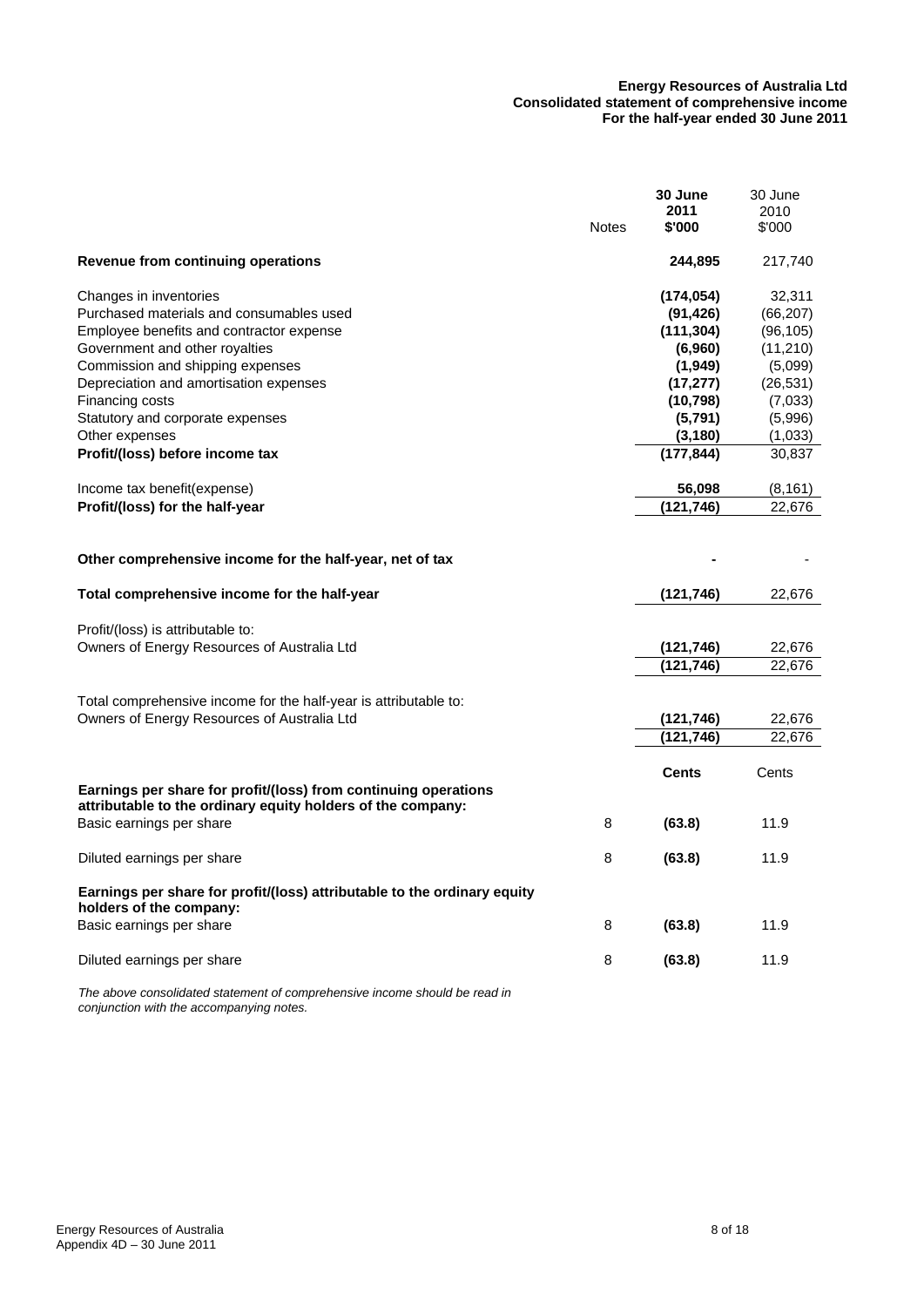#### **Energy Resources of Australia Ltd Consolidated statement of comprehensive income For the half-year ended 30 June 2011**

|                                                                                                                                | <b>Notes</b> | 30 June<br>2011<br>\$'000             | 30 June<br>2010<br>\$'000        |
|--------------------------------------------------------------------------------------------------------------------------------|--------------|---------------------------------------|----------------------------------|
| Revenue from continuing operations                                                                                             |              | 244,895                               | 217,740                          |
| Changes in inventories<br>Purchased materials and consumables used<br>Employee benefits and contractor expense                 |              | (174, 054)<br>(91, 426)<br>(111, 304) | 32,311<br>(66, 207)<br>(96, 105) |
| Government and other royalties<br>Commission and shipping expenses                                                             |              | (6,960)<br>(1,949)                    | (11,210)<br>(5,099)              |
| Depreciation and amortisation expenses<br>Financing costs<br>Statutory and corporate expenses                                  |              | (17, 277)<br>(10, 798)<br>(5,791)     | (26, 531)<br>(7,033)<br>(5,996)  |
| Other expenses<br>Profit/(loss) before income tax                                                                              |              | (3, 180)<br>(177, 844)                | (1,033)<br>30,837                |
| Income tax benefit (expense)<br>Profit/(loss) for the half-year                                                                |              | 56,098<br>(121, 746)                  | (8, 161)<br>22,676               |
| Other comprehensive income for the half-year, net of tax                                                                       |              |                                       |                                  |
| Total comprehensive income for the half-year                                                                                   |              | (121, 746)                            | 22,676                           |
| Profit/(loss) is attributable to:<br>Owners of Energy Resources of Australia Ltd                                               |              | (121, 746)<br>(121, 746)              | 22,676<br>22,676                 |
| Total comprehensive income for the half-year is attributable to:<br>Owners of Energy Resources of Australia Ltd                |              | (121, 746)                            | 22,676                           |
|                                                                                                                                |              | (121,746)                             | 22.676                           |
| Earnings per share for profit/(loss) from continuing operations<br>attributable to the ordinary equity holders of the company: |              | <b>Cents</b>                          | Cents                            |
| Basic earnings per share                                                                                                       | 8            | (63.8)                                | 11.9                             |
| Diluted earnings per share                                                                                                     | 8            | (63.8)                                | 11.9                             |
| Earnings per share for profit/(loss) attributable to the ordinary equity<br>holders of the company:                            |              |                                       |                                  |
| Basic earnings per share                                                                                                       | 8            | (63.8)                                | 11.9                             |
| Diluted earnings per share                                                                                                     | 8            | (63.8)                                | 11.9                             |

*The above consolidated statement of comprehensive income should be read in conjunction with the accompanying notes.*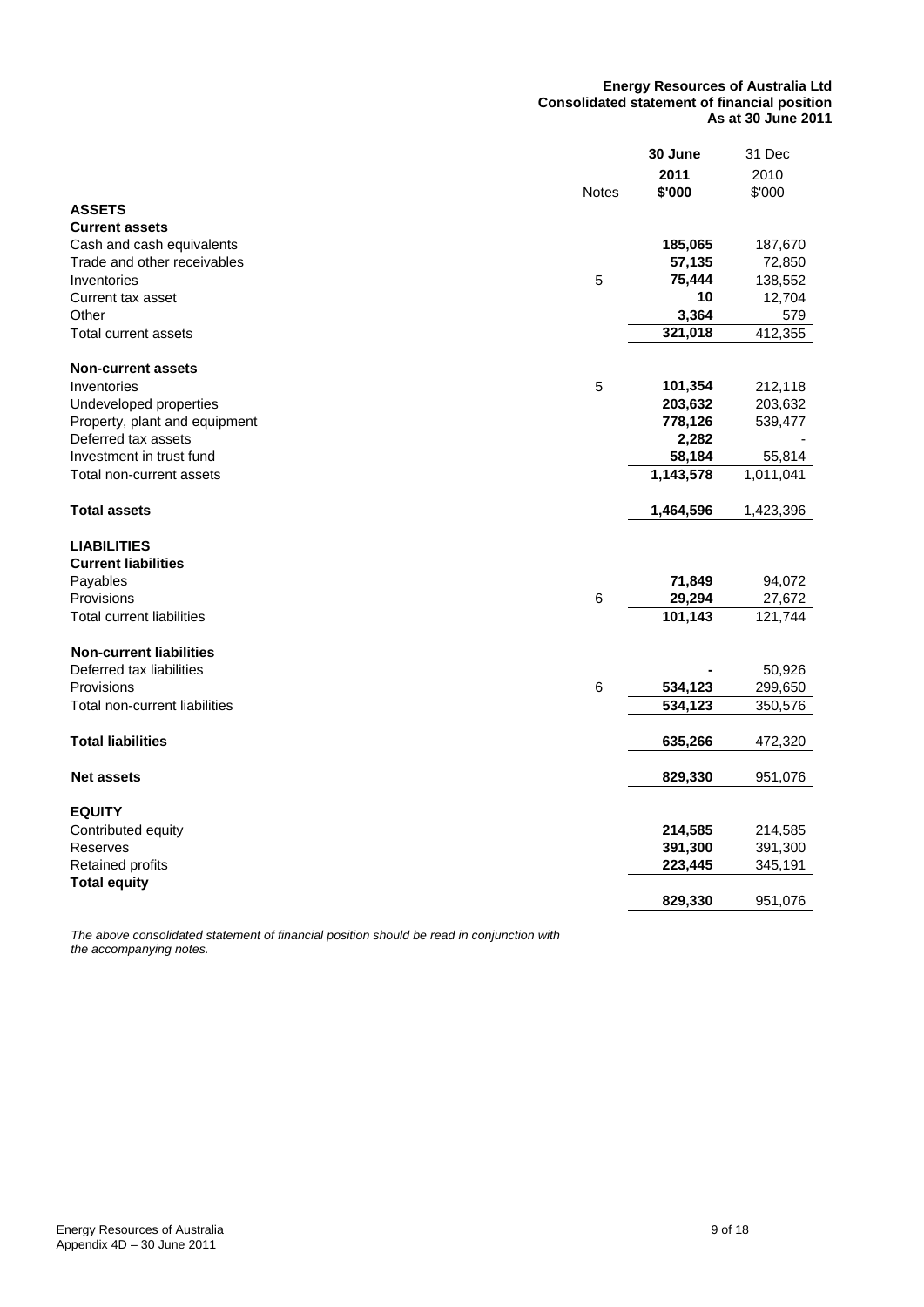#### **Energy Resources of Australia Ltd Consolidated statement of financial position As at 30 June 2011**

|                                  |              | 30 June   | 31 Dec    |
|----------------------------------|--------------|-----------|-----------|
|                                  |              | 2011      | 2010      |
|                                  | <b>Notes</b> | \$'000    | \$'000    |
| <b>ASSETS</b>                    |              |           |           |
| <b>Current assets</b>            |              |           |           |
| Cash and cash equivalents        |              | 185,065   | 187,670   |
| Trade and other receivables      |              | 57,135    | 72,850    |
| Inventories                      | 5            | 75,444    | 138,552   |
| Current tax asset                |              | 10        | 12,704    |
| Other                            |              | 3,364     | 579       |
| <b>Total current assets</b>      |              | 321,018   | 412,355   |
|                                  |              |           |           |
| <b>Non-current assets</b>        |              |           |           |
| Inventories                      | 5            | 101,354   | 212,118   |
| Undeveloped properties           |              | 203,632   | 203,632   |
| Property, plant and equipment    |              | 778,126   | 539,477   |
| Deferred tax assets              |              | 2,282     |           |
| Investment in trust fund         |              | 58,184    | 55,814    |
|                                  |              |           | 1,011,041 |
| Total non-current assets         |              | 1,143,578 |           |
| <b>Total assets</b>              |              |           | 1,423,396 |
|                                  |              | 1,464,596 |           |
| <b>LIABILITIES</b>               |              |           |           |
| <b>Current liabilities</b>       |              |           |           |
|                                  |              | 71,849    |           |
| Payables<br>Provisions           | $\,6$        |           | 94,072    |
|                                  |              | 29,294    | 27,672    |
| <b>Total current liabilities</b> |              | 101,143   | 121,744   |
|                                  |              |           |           |
| <b>Non-current liabilities</b>   |              |           |           |
| Deferred tax liabilities         |              |           | 50,926    |
| Provisions                       | $\,6$        | 534,123   | 299,650   |
| Total non-current liabilities    |              | 534,123   | 350,576   |
|                                  |              |           |           |
| <b>Total liabilities</b>         |              | 635,266   | 472,320   |
|                                  |              |           |           |
| <b>Net assets</b>                |              | 829,330   | 951,076   |
|                                  |              |           |           |
| <b>EQUITY</b>                    |              |           |           |
| Contributed equity               |              | 214,585   | 214,585   |
| Reserves                         |              | 391,300   | 391,300   |
| Retained profits                 |              | 223,445   | 345,191   |
| <b>Total equity</b>              |              |           |           |
|                                  |              | 829,330   | 951,076   |

*The above consolidated statement of financial position should be read in conjunction with the accompanying notes.*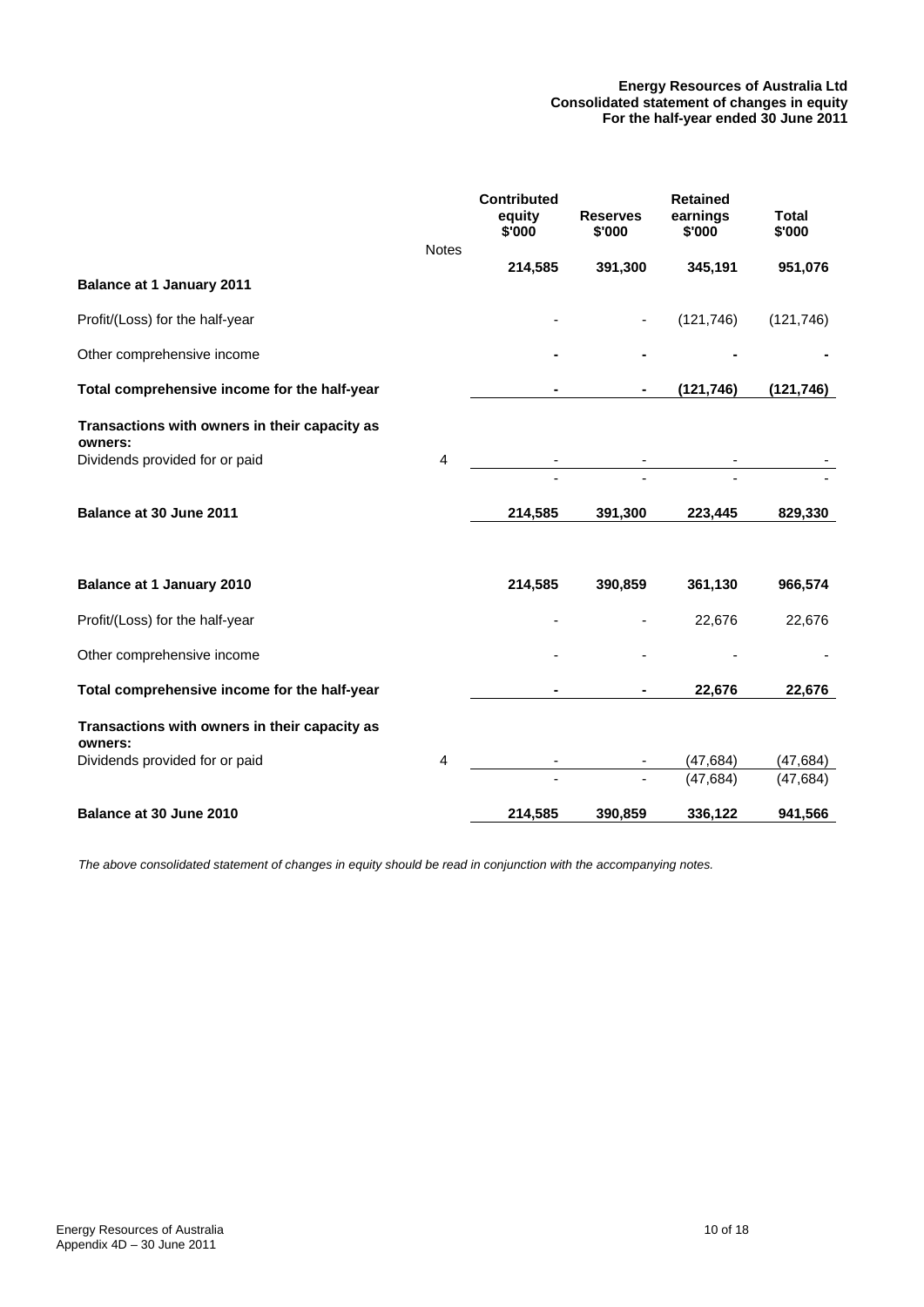#### **Energy Resources of Australia Ltd Consolidated statement of changes in equity For the half-year ended 30 June 2011**

|                                                          | <b>Notes</b>   | <b>Contributed</b><br>equity<br>\$'000 | <b>Reserves</b><br>\$'000 | <b>Retained</b><br>earnings<br>\$'000 | <b>Total</b><br>\$'000 |
|----------------------------------------------------------|----------------|----------------------------------------|---------------------------|---------------------------------------|------------------------|
|                                                          |                | 214,585                                | 391,300                   | 345,191                               | 951,076                |
| <b>Balance at 1 January 2011</b>                         |                |                                        |                           |                                       |                        |
| Profit/(Loss) for the half-year                          |                |                                        |                           | (121, 746)                            | (121, 746)             |
| Other comprehensive income                               |                |                                        |                           |                                       |                        |
| Total comprehensive income for the half-year             |                |                                        | ۰                         | (121, 746)                            | (121, 746)             |
| Transactions with owners in their capacity as<br>owners: |                |                                        |                           |                                       |                        |
| Dividends provided for or paid                           | $\overline{4}$ |                                        |                           |                                       |                        |
| Balance at 30 June 2011                                  |                | 214,585                                | 391,300                   | 223,445                               | 829,330                |
|                                                          |                |                                        |                           |                                       |                        |
| <b>Balance at 1 January 2010</b>                         |                | 214,585                                | 390,859                   | 361,130                               | 966,574                |
| Profit/(Loss) for the half-year                          |                | -                                      |                           | 22,676                                | 22,676                 |
| Other comprehensive income                               |                |                                        |                           |                                       |                        |
| Total comprehensive income for the half-year             |                |                                        |                           | 22,676                                | 22,676                 |
| Transactions with owners in their capacity as<br>owners: |                |                                        |                           |                                       |                        |
| Dividends provided for or paid                           | $\overline{4}$ |                                        |                           | (47, 684)                             | (47, 684)              |
|                                                          |                |                                        |                           | (47, 684)                             | (47, 684)              |
| Balance at 30 June 2010                                  |                | 214,585                                | 390,859                   | 336,122                               | 941,566                |

*The above consolidated statement of changes in equity should be read in conjunction with the accompanying notes.*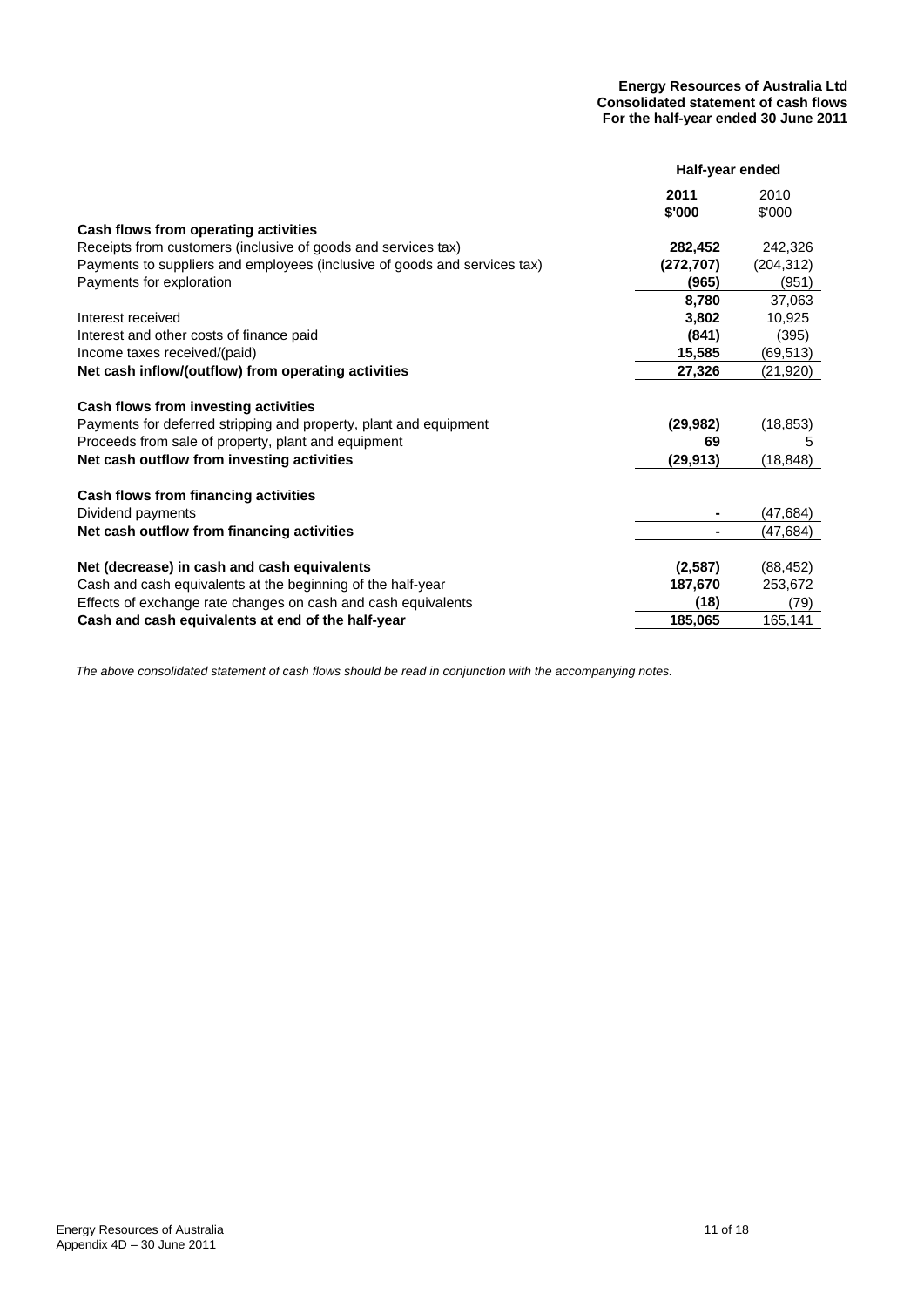#### **Energy Resources of Australia Ltd Consolidated statement of cash flows For the half-year ended 30 June 2011**

|                                                                           | Half-year ended |            |
|---------------------------------------------------------------------------|-----------------|------------|
|                                                                           | 2011            | 2010       |
|                                                                           | \$'000          | \$'000     |
| Cash flows from operating activities                                      |                 |            |
| Receipts from customers (inclusive of goods and services tax)             | 282,452         | 242,326    |
| Payments to suppliers and employees (inclusive of goods and services tax) | (272, 707)      | (204, 312) |
| Payments for exploration                                                  | (965)           | (951)      |
|                                                                           | 8,780           | 37,063     |
| Interest received                                                         | 3,802           | 10,925     |
| Interest and other costs of finance paid                                  | (841)           | (395)      |
| Income taxes received/(paid)                                              | 15,585          | (69,513)   |
| Net cash inflow/(outflow) from operating activities                       | 27,326          | (21,920)   |
|                                                                           |                 |            |
| Cash flows from investing activities                                      |                 |            |
| Payments for deferred stripping and property, plant and equipment         | (29, 982)       | (18, 853)  |
| Proceeds from sale of property, plant and equipment                       | 69              | 5          |
| Net cash outflow from investing activities                                | (29,913)        | (18, 848)  |
|                                                                           |                 |            |
| Cash flows from financing activities                                      |                 |            |
| Dividend payments                                                         |                 | (47,684)   |
| Net cash outflow from financing activities                                |                 | (47,684)   |
|                                                                           |                 |            |
| Net (decrease) in cash and cash equivalents                               | (2,587)         | (88, 452)  |
| Cash and cash equivalents at the beginning of the half-year               | 187,670         | 253,672    |
| Effects of exchange rate changes on cash and cash equivalents             | (18)            | (79)       |
| Cash and cash equivalents at end of the half-year                         | 185,065         | 165,141    |

*The above consolidated statement of cash flows should be read in conjunction with the accompanying notes.*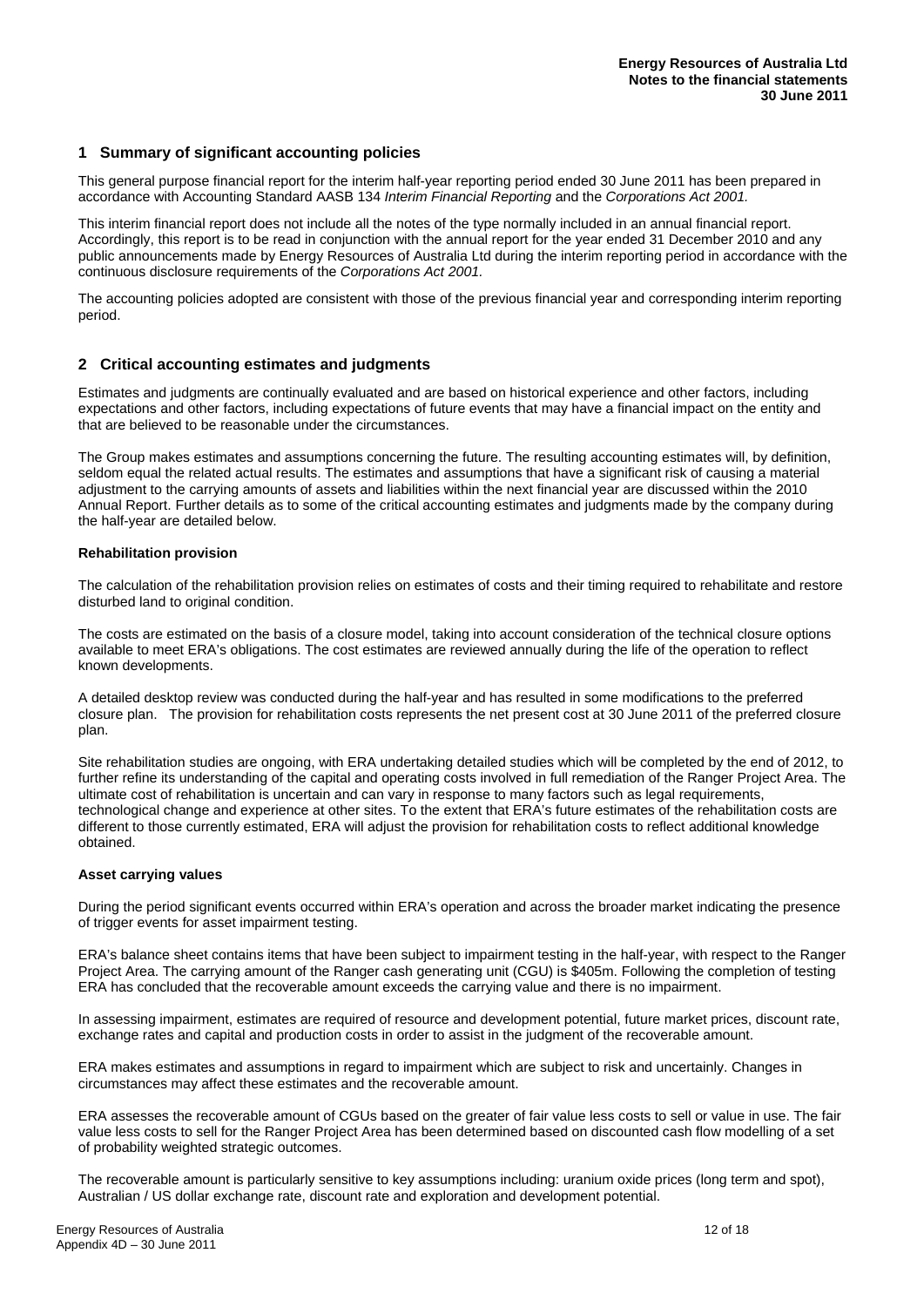#### **1 Summary of significant accounting policies**

This general purpose financial report for the interim half-year reporting period ended 30 June 2011 has been prepared in accordance with Accounting Standard AASB 134 *Interim Financial Reporting* and the *Corporations Act 2001.*

This interim financial report does not include all the notes of the type normally included in an annual financial report. Accordingly, this report is to be read in conjunction with the annual report for the year ended 31 December 2010 and any public announcements made by Energy Resources of Australia Ltd during the interim reporting period in accordance with the continuous disclosure requirements of the *Corporations Act 2001.*

The accounting policies adopted are consistent with those of the previous financial year and corresponding interim reporting period.

#### **2 Critical accounting estimates and judgments**

Estimates and judgments are continually evaluated and are based on historical experience and other factors, including expectations and other factors, including expectations of future events that may have a financial impact on the entity and that are believed to be reasonable under the circumstances.

The Group makes estimates and assumptions concerning the future. The resulting accounting estimates will, by definition, seldom equal the related actual results. The estimates and assumptions that have a significant risk of causing a material adjustment to the carrying amounts of assets and liabilities within the next financial year are discussed within the 2010 Annual Report. Further details as to some of the critical accounting estimates and judgments made by the company during the half-year are detailed below.

#### **Rehabilitation provision**

The calculation of the rehabilitation provision relies on estimates of costs and their timing required to rehabilitate and restore disturbed land to original condition.

The costs are estimated on the basis of a closure model, taking into account consideration of the technical closure options available to meet ERA's obligations. The cost estimates are reviewed annually during the life of the operation to reflect known developments.

A detailed desktop review was conducted during the half-year and has resulted in some modifications to the preferred closure plan. The provision for rehabilitation costs represents the net present cost at 30 June 2011 of the preferred closure plan.

Site rehabilitation studies are ongoing, with ERA undertaking detailed studies which will be completed by the end of 2012, to further refine its understanding of the capital and operating costs involved in full remediation of the Ranger Project Area. The ultimate cost of rehabilitation is uncertain and can vary in response to many factors such as legal requirements, technological change and experience at other sites. To the extent that ERA's future estimates of the rehabilitation costs are different to those currently estimated, ERA will adjust the provision for rehabilitation costs to reflect additional knowledge obtained.

#### **Asset carrying values**

During the period significant events occurred within ERA's operation and across the broader market indicating the presence of trigger events for asset impairment testing.

ERA's balance sheet contains items that have been subject to impairment testing in the half-year, with respect to the Ranger Project Area. The carrying amount of the Ranger cash generating unit (CGU) is \$405m. Following the completion of testing ERA has concluded that the recoverable amount exceeds the carrying value and there is no impairment.

In assessing impairment, estimates are required of resource and development potential, future market prices, discount rate, exchange rates and capital and production costs in order to assist in the judgment of the recoverable amount.

ERA makes estimates and assumptions in regard to impairment which are subject to risk and uncertainly. Changes in circumstances may affect these estimates and the recoverable amount.

ERA assesses the recoverable amount of CGUs based on the greater of fair value less costs to sell or value in use. The fair value less costs to sell for the Ranger Project Area has been determined based on discounted cash flow modelling of a set of probability weighted strategic outcomes.

The recoverable amount is particularly sensitive to key assumptions including: uranium oxide prices (long term and spot), Australian / US dollar exchange rate, discount rate and exploration and development potential.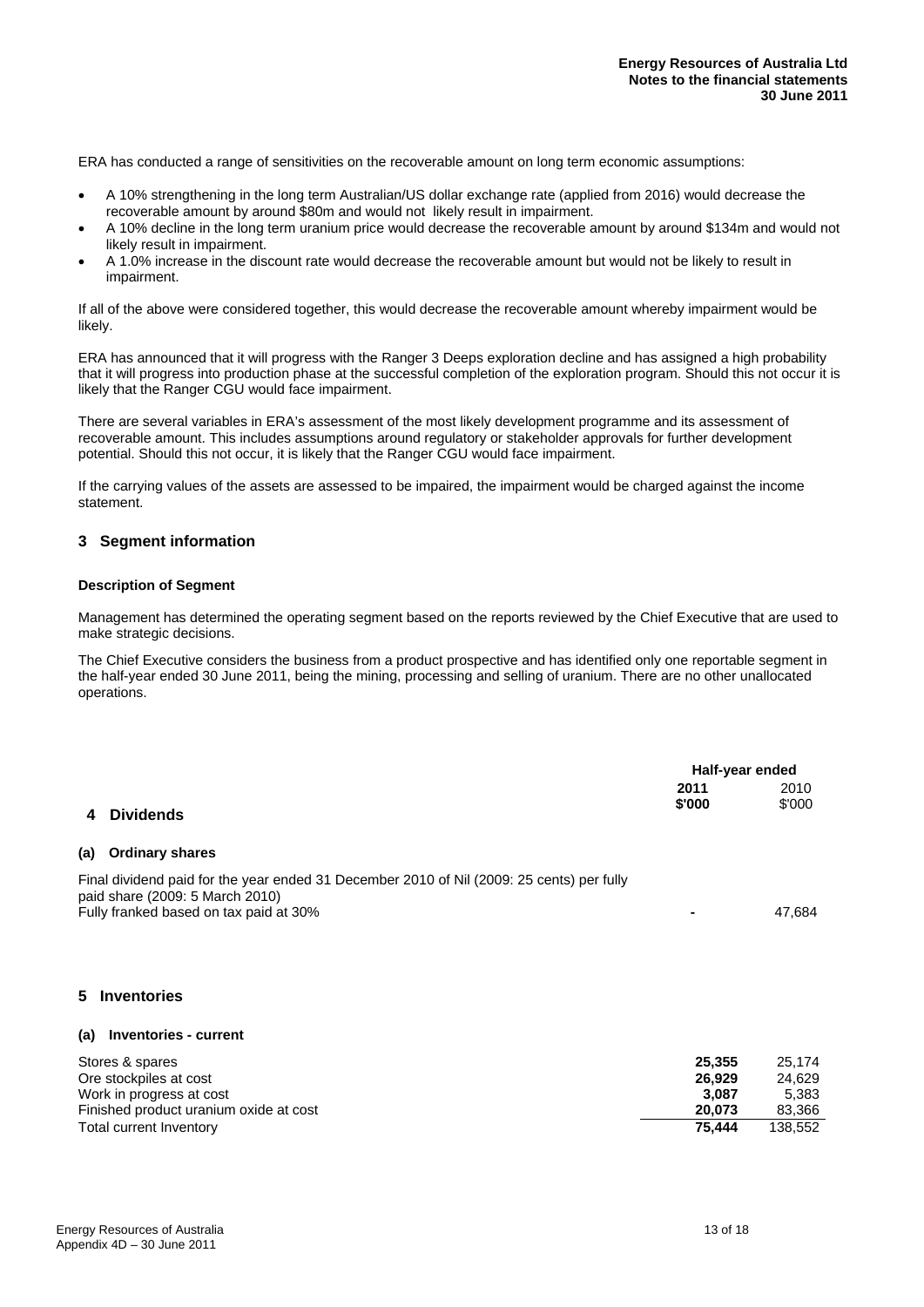ERA has conducted a range of sensitivities on the recoverable amount on long term economic assumptions:

- A 10% strengthening in the long term Australian/US dollar exchange rate (applied from 2016) would decrease the recoverable amount by around \$80m and would not likely result in impairment.
- A 10% decline in the long term uranium price would decrease the recoverable amount by around \$134m and would not likely result in impairment.
- A 1.0% increase in the discount rate would decrease the recoverable amount but would not be likely to result in impairment.

If all of the above were considered together, this would decrease the recoverable amount whereby impairment would be likely.

ERA has announced that it will progress with the Ranger 3 Deeps exploration decline and has assigned a high probability that it will progress into production phase at the successful completion of the exploration program. Should this not occur it is likely that the Ranger CGU would face impairment.

There are several variables in ERA's assessment of the most likely development programme and its assessment of recoverable amount. This includes assumptions around regulatory or stakeholder approvals for further development potential. Should this not occur, it is likely that the Ranger CGU would face impairment.

If the carrying values of the assets are assessed to be impaired, the impairment would be charged against the income statement.

#### **3 Segment information**

#### **Description of Segment**

Management has determined the operating segment based on the reports reviewed by the Chief Executive that are used to make strategic decisions.

The Chief Executive considers the business from a product prospective and has identified only one reportable segment in the half-year ended 30 June 2011, being the mining, processing and selling of uranium. There are no other unallocated operations.

|                                                                                                                                                                        | Half-year ended            |                          |
|------------------------------------------------------------------------------------------------------------------------------------------------------------------------|----------------------------|--------------------------|
| <b>Dividends</b><br>4                                                                                                                                                  | 2011<br>\$'000             | 2010<br>\$'000           |
| <b>Ordinary shares</b><br>(a)                                                                                                                                          |                            |                          |
| Final dividend paid for the year ended 31 December 2010 of Nil (2009: 25 cents) per fully<br>paid share (2009: 5 March 2010)<br>Fully franked based on tax paid at 30% |                            | 47,684                   |
| <b>Inventories</b><br>5.                                                                                                                                               |                            |                          |
| <b>Inventories - current</b><br>(a)                                                                                                                                    |                            |                          |
| Stores & spares<br>Ore stockpiles at cost<br>Work in progress at cost                                                                                                  | 25,355<br>26,929<br>3 O.R. | 25,174<br>24,629<br>5383 |

| Ore stockpiles at cost                 | 26.929 | 24.629  |
|----------------------------------------|--------|---------|
| Work in progress at cost               | 3.087  | 5.383   |
| Finished product uranium oxide at cost | 20.073 | 83.366  |
| Total current Inventory                | 75.444 | 138.552 |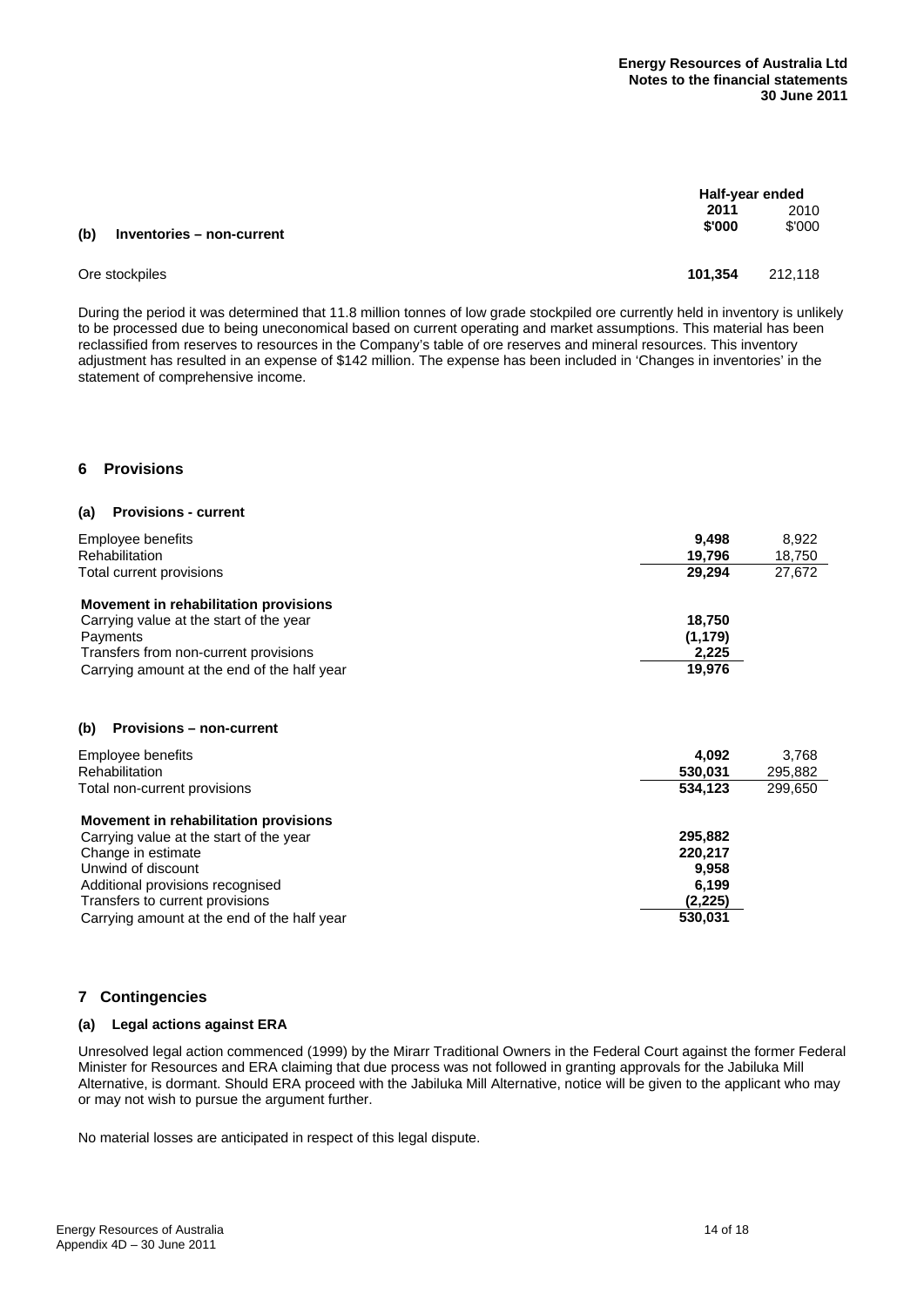|     |                           |         | Half-year ended |  |
|-----|---------------------------|---------|-----------------|--|
|     |                           | 2011    | 2010            |  |
| (b) | Inventories - non-current | \$'000  | \$'000          |  |
|     | Ore stockpiles            | 101.354 | 212.118         |  |

During the period it was determined that 11.8 million tonnes of low grade stockpiled ore currently held in inventory is unlikely to be processed due to being uneconomical based on current operating and market assumptions. This material has been reclassified from reserves to resources in the Company's table of ore reserves and mineral resources. This inventory adjustment has resulted in an expense of \$142 million. The expense has been included in 'Changes in inventories' in the statement of comprehensive income.

#### **6 Provisions**

#### **(a) Provisions - current**

| 9,498    | 8,922  |
|----------|--------|
| 19.796   | 18,750 |
| 29,294   | 27,672 |
|          |        |
| 18.750   |        |
| (1, 179) |        |
| 2,225    |        |
| 19.976   |        |
|          |        |
|          |        |
|          |        |

#### **(b) Provisions – non-current**

| Employee benefits<br><b>Rehabilitation</b>  | 4.092<br>530,031 | 3,768<br>295,882 |
|---------------------------------------------|------------------|------------------|
| Total non-current provisions                | 534,123          | 299,650          |
| Movement in rehabilitation provisions       |                  |                  |
| Carrying value at the start of the year     | 295.882          |                  |
| Change in estimate                          | 220.217          |                  |
| Unwind of discount                          | 9.958            |                  |
| Additional provisions recognised            | 6.199            |                  |
| Transfers to current provisions             | (2,225)          |                  |
| Carrying amount at the end of the half year | 530,031          |                  |

#### **7 Contingencies**

#### **(a) Legal actions against ERA**

Unresolved legal action commenced (1999) by the Mirarr Traditional Owners in the Federal Court against the former Federal Minister for Resources and ERA claiming that due process was not followed in granting approvals for the Jabiluka Mill Alternative, is dormant. Should ERA proceed with the Jabiluka Mill Alternative, notice will be given to the applicant who may or may not wish to pursue the argument further.

No material losses are anticipated in respect of this legal dispute.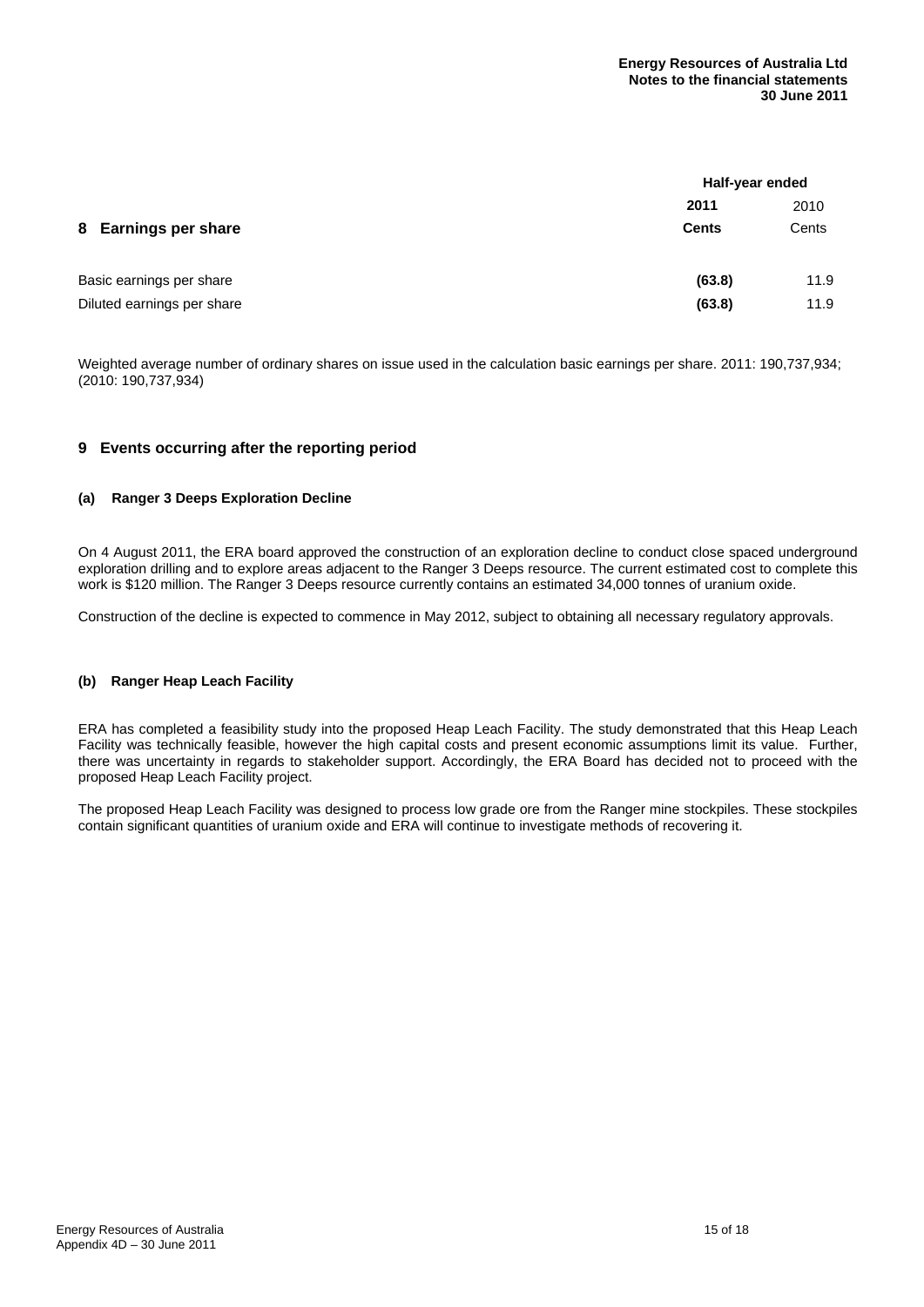|                            |              | Half-year ended |  |
|----------------------------|--------------|-----------------|--|
|                            | 2011         | 2010            |  |
| 8 Earnings per share       | <b>Cents</b> | Cents           |  |
| Basic earnings per share   | (63.8)       | 11.9            |  |
| Diluted earnings per share | (63.8)       | 11.9            |  |

Weighted average number of ordinary shares on issue used in the calculation basic earnings per share. 2011: 190,737,934; (2010: 190,737,934)

#### **9 Events occurring after the reporting period**

#### **(a) Ranger 3 Deeps Exploration Decline**

On 4 August 2011, the ERA board approved the construction of an exploration decline to conduct close spaced underground exploration drilling and to explore areas adjacent to the Ranger 3 Deeps resource. The current estimated cost to complete this work is \$120 million. The Ranger 3 Deeps resource currently contains an estimated 34,000 tonnes of uranium oxide.

Construction of the decline is expected to commence in May 2012, subject to obtaining all necessary regulatory approvals.

#### **(b) Ranger Heap Leach Facility**

ERA has completed a feasibility study into the proposed Heap Leach Facility. The study demonstrated that this Heap Leach Facility was technically feasible, however the high capital costs and present economic assumptions limit its value. Further, there was uncertainty in regards to stakeholder support. Accordingly, the ERA Board has decided not to proceed with the proposed Heap Leach Facility project.

The proposed Heap Leach Facility was designed to process low grade ore from the Ranger mine stockpiles. These stockpiles contain significant quantities of uranium oxide and ERA will continue to investigate methods of recovering it.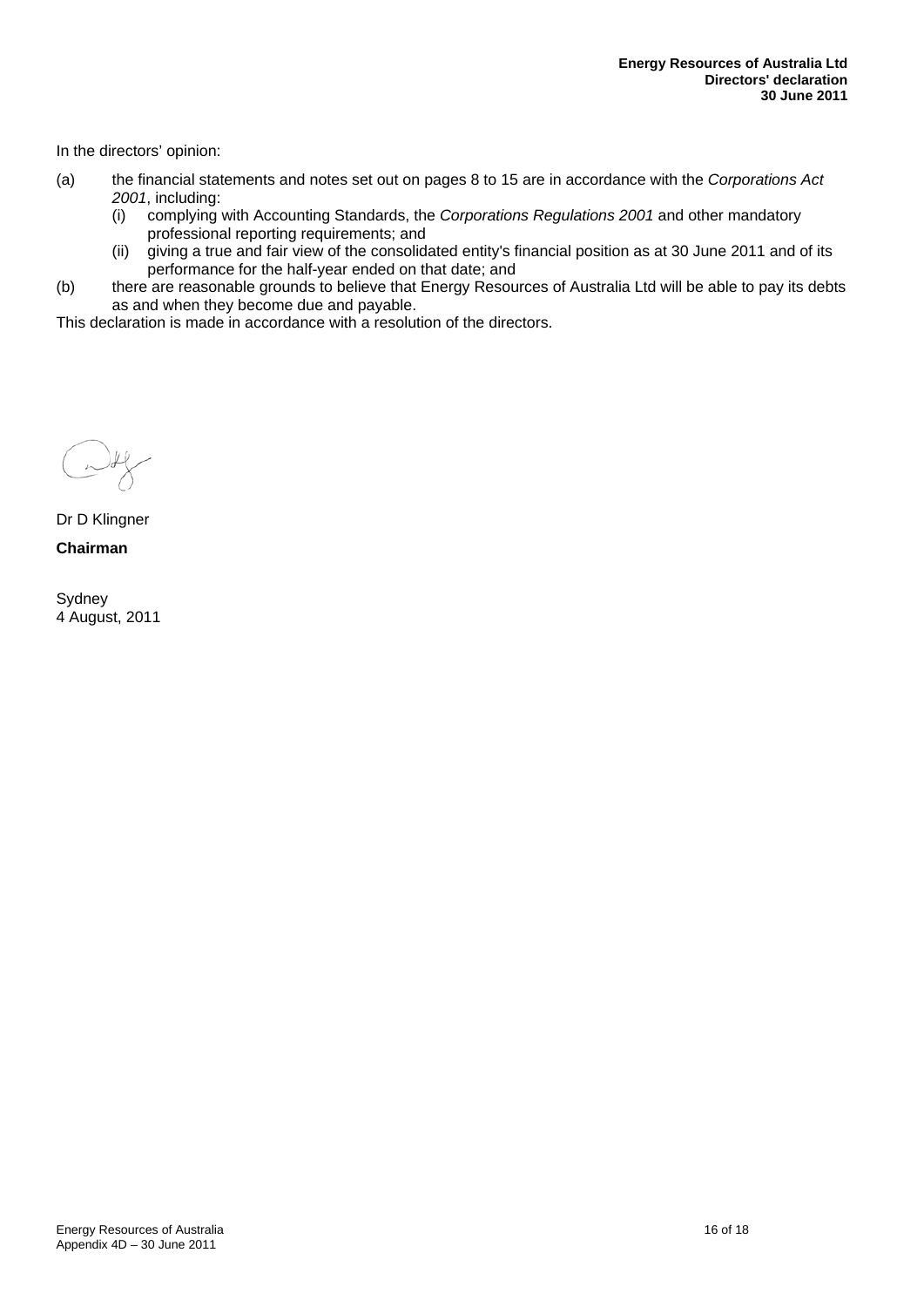In the directors' opinion:

- (a) the financial statements and notes set out on pages 8 to 15 are in accordance with the *Corporations Act 2001*, including:
	- (i) complying with Accounting Standards, the *Corporations Regulations 2001* and other mandatory professional reporting requirements; and
	- (ii) giving a true and fair view of the consolidated entity's financial position as at 30 June 2011 and of its performance for the half-year ended on that date; and
- (b) there are reasonable grounds to believe that Energy Resources of Australia Ltd will be able to pay its debts as and when they become due and payable.

This declaration is made in accordance with a resolution of the directors.

Dr D Klingner **Chairman** 

Sydney 4 August, 2011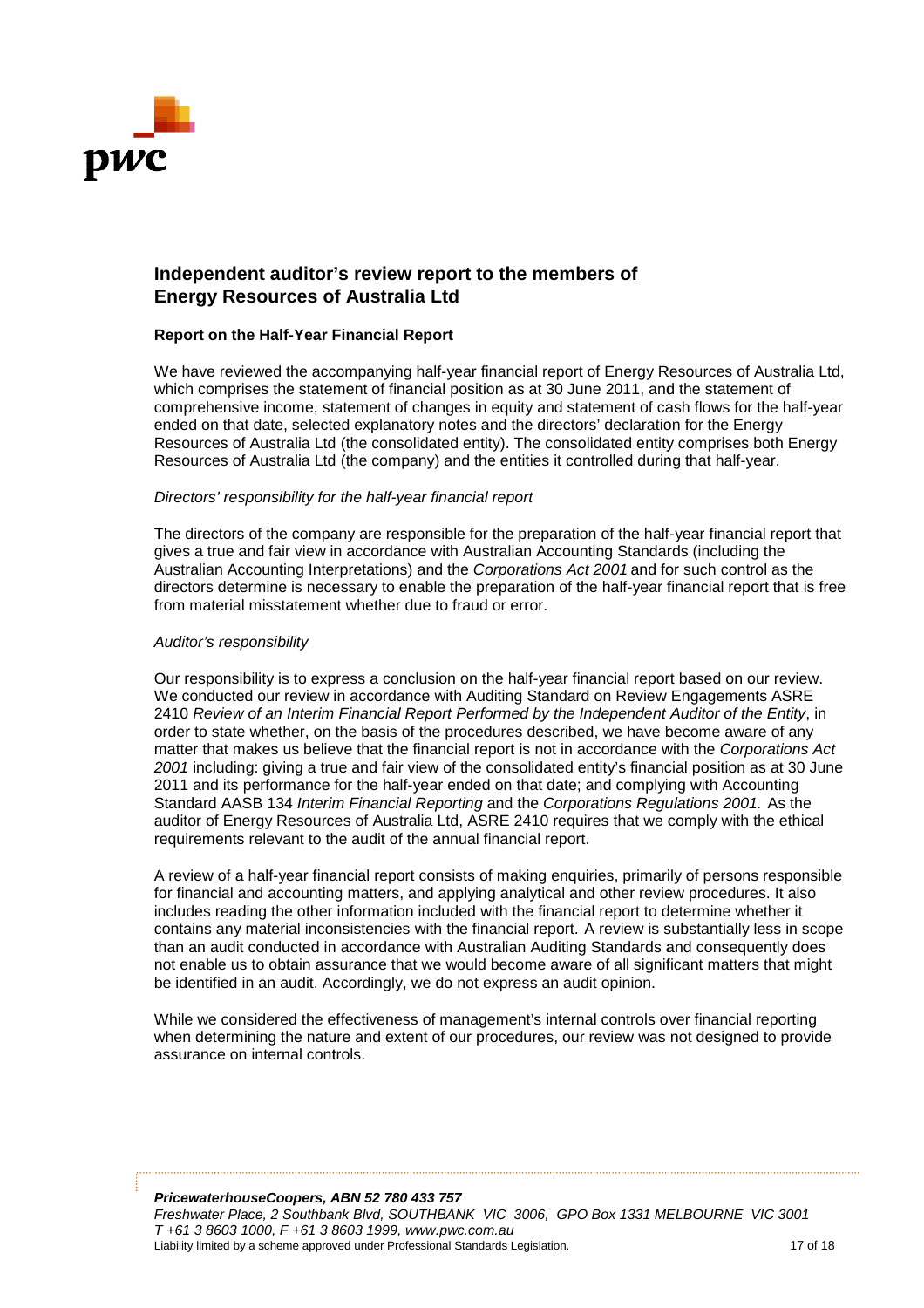

## **Independent auditor's review report to the members of Energy Resources of Australia Ltd**

#### **Report on the Half-Year Financial Report**

We have reviewed the accompanying half-year financial report of Energy Resources of Australia Ltd, which comprises the statement of financial position as at 30 June 2011, and the statement of comprehensive income, statement of changes in equity and statement of cash flows for the half-year ended on that date, selected explanatory notes and the directors' declaration for the Energy Resources of Australia Ltd (the consolidated entity). The consolidated entity comprises both Energy Resources of Australia Ltd (the company) and the entities it controlled during that half-year.

#### *Directors' responsibility for the half half-year financial report*

The directors of the company are responsible for the preparation of the half-year financial report that gives a true and fair view in accordance with Australian Accounting Standards (including the gives a true and fair view in accordance with Australian Accounting Standards (including the<br>Australian Accounting Interpretations) and the *Corporations Act 2001* and for such control as the directors determine is necessary to enable the preparation of the half half-year financial report that is free from material misstatement whether due to fraud or error.

#### *Auditor's responsibility*

Our responsibility is to express a conclusion on the half-year financial report based on our review. directors determine is necessary to enable the preparation of the half-year financial report that is<br>from material misstatement whether due to fraud or error.<br>Auditor's responsibility<br>Our responsibility is to express a con 2410 *Review of an Interim Financial Report Performed by the Independent Auditor of the Entity*, in order to state whether, on the basis of the procedures described, we have become aware of any order to state whether, on the basis of the procedures described, we have become aware of any<br>matter that makes us believe that the financial report is not in accordance with the *Corporations Act* 2001 including: giving a true and fair view of the consolidated entity's financial position as at 30 June 2011 and its performance for the half-year ended on that date; and complying with Accounting Standard AASB 134 *Interim Financial Reporting* and the *Corporations Regulations 2001*. As the auditor of Energy Resources of Australia Ltd, ASRE 2410 requires that we comply with the ethical requirements relevant to the audit of the annual financial report.

A review of a half-year financial report consists of making enquiries, primarily of persons responsible for financial and accounting matters, and applying analytical and other review procedures. It also includes reading the other information included with the financial report to determine whether it includes reading the other information included with the financial report to determine whether it<br>contains any material inconsistencies with the financial report. A review is substantially less in scope than an audit conducted in accordance with Australian Auditing Standards and consequently does<br>not enable us to obtain assurance that we would become aware of all significant matters that might<br>be identified in an audit. A not enable us to obtain assurance that we would become aware of all significant matters that might be identified in an audit. Accordingly, we do not express an audit opinion. Resources of Australia Ltd, ASRE 2410 requires that we comply with the ethica<br>vant to the audit of the annual financial report.<br>year financial report consists of making enquiries, primarily of persons respons<br>ccounting mat

While we considered the effectiveness of management's internal controls over financial reporting when determining the nature and extent of our procedures, our review was not designed to provide assurance on internal controls.